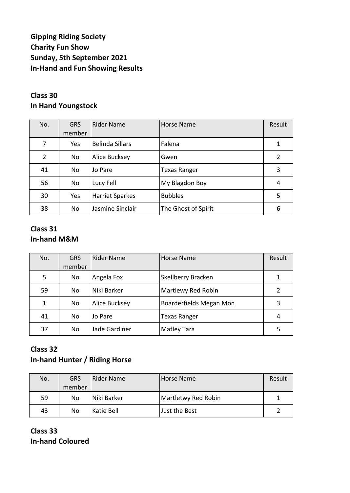# **Gipping Riding Society Charity Fun Show Sunday, 5th September 2021 In-Hand and Fun Showing Results**

# **Class 30 In Hand Youngstock**

| No.            | <b>GRS</b><br>member | <b>Rider Name</b>      | <b>Horse Name</b>   | Result         |
|----------------|----------------------|------------------------|---------------------|----------------|
| 7              | Yes                  | <b>Belinda Sillars</b> | Falena              |                |
| $\overline{2}$ | No                   | Alice Bucksey          | Gwen                | $\overline{2}$ |
| 41             | No                   | Jo Pare                | <b>Texas Ranger</b> | 3              |
| 56             | No                   | Lucy Fell              | My Blagdon Boy      | 4              |
| 30             | Yes                  | <b>Harriet Sparkes</b> | <b>Bubbles</b>      | 5              |
| 38             | No                   | Jasmine Sinclair       | The Ghost of Spirit | 6              |

#### **Class 31 In-hand M&M**

| No. | <b>GRS</b><br>member | <b>Rider Name</b>    | <b>Horse Name</b>         | Result |
|-----|----------------------|----------------------|---------------------------|--------|
| 5   | No                   | Angela Fox           | <b>Skellberry Bracken</b> |        |
| 59  | No                   | Niki Barker          | Martlewy Red Robin        |        |
| 1   | No                   | <b>Alice Bucksey</b> | Boarderfields Megan Mon   | 3      |
| 41  | No                   | Jo Pare              | <b>Texas Ranger</b>       | 4      |
| 37  | No                   | Jade Gardiner        | <b>Matley Tara</b>        | 5      |

#### **Class 32 In-hand Hunter / Riding Horse**

| No. | <b>GRS</b> | <b>Rider Name</b> | Horse Name          | Result |
|-----|------------|-------------------|---------------------|--------|
|     | member     |                   |                     |        |
| 59  | No         | Niki Barker       | Martletwy Red Robin |        |
| 43  | No         | Katie Bell        | Just the Best       |        |

**Class 33 In-hand Coloured**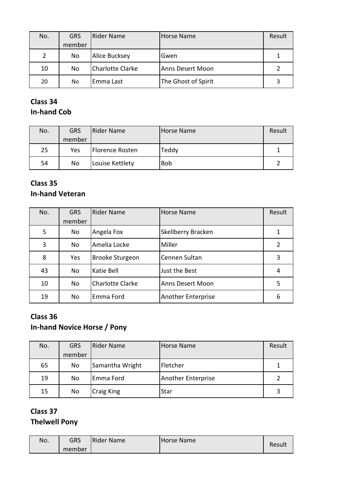| No. | <b>GRS</b> | <b>Rider Name</b>       | Horse Name              | Result |
|-----|------------|-------------------------|-------------------------|--------|
|     | member     |                         |                         |        |
| 2   | No         | <b>Alice Bucksey</b>    | Gwen                    |        |
| 10  | No         | <b>Charlotte Clarke</b> | <b>Anns Desert Moon</b> |        |
| 20  | No         | Emma Last               | The Ghost of Spirit     | 3      |

## **Class 34 In-hand Cob**

| No. | <b>GRS</b> | <b>Rider Name</b> | Horse Name | Result |
|-----|------------|-------------------|------------|--------|
|     | member     |                   |            |        |
| 25  | Yes        | Florence Rosten   | Teddy      |        |
| 54  | No         | Louise Kettlety   | <b>Bob</b> |        |

# **Class 35**

# **In-hand Veteran**

| No. | <b>GRS</b> | <b>Rider Name</b>       | <b>Horse Name</b>       | Result         |
|-----|------------|-------------------------|-------------------------|----------------|
|     | member     |                         |                         |                |
| 5   | No         | Angela Fox              | Skellberry Bracken      |                |
| 3   | No         | Amelia Locke            | Miller                  | $\overline{2}$ |
| 8   | Yes        | Brooke Sturgeon         | Cennen Sultan           | 3              |
| 43  | No         | Katie Bell              | Just the Best           | 4              |
| 10  | <b>No</b>  | <b>Charlotte Clarke</b> | <b>Anns Desert Moon</b> | 5              |
| 19  | No         | Emma Ford               | Another Enterprise      | 6              |

# **Class 36 In-hand Novice Horse / Pony**

| No. | <b>GRS</b> | <b>Rider Name</b> | <b>Horse Name</b>  | Result |
|-----|------------|-------------------|--------------------|--------|
|     | member     |                   |                    |        |
| 65  | No         | Samantha Wright   | Fletcher           |        |
| 19  | No.        | Emma Ford         | Another Enterprise |        |
| 15  | No         | <b>Craig King</b> | Star               | 3      |

# **Class 37 Thelwell Pony**

| No. | GRS    | Rider Name | <b>Horse Name</b> | Result |
|-----|--------|------------|-------------------|--------|
|     | member |            |                   |        |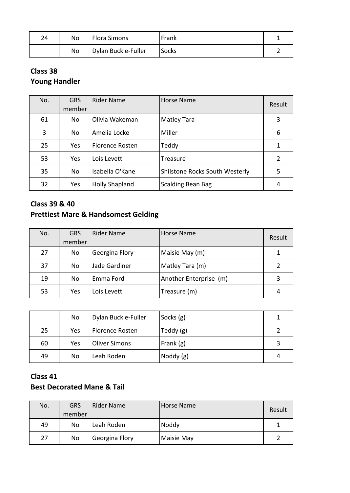| 24 | No | <b>Flora Simons</b> | Frank        |  |
|----|----|---------------------|--------------|--|
|    | No | Dylan Buckle-Fuller | <b>Socks</b> |  |

# **Class 38 Young Handler**

| No. | <b>GRS</b><br>member | <b>Rider Name</b>      | Horse Name                     | Result |
|-----|----------------------|------------------------|--------------------------------|--------|
| 61  | <b>No</b>            | Olivia Wakeman         | <b>Matley Tara</b>             | 3      |
| 3   | No                   | Amelia Locke           | Miller                         | 6      |
| 25  | Yes                  | <b>Florence Rosten</b> | Teddy                          |        |
| 53  | Yes                  | Lois Levett            | Treasure                       |        |
| 35  | No.                  | Isabella O'Kane        | Shilstone Rocks South Westerly | 5      |
| 32  | Yes                  | <b>Holly Shapland</b>  | <b>Scalding Bean Bag</b>       | 4      |

## **Class 39 & 40 Prettiest Mare & Handsomest Gelding**

| No. | <b>GRS</b><br>member | Rider Name     | Horse Name             | Result |
|-----|----------------------|----------------|------------------------|--------|
| 27  | No                   | Georgina Flory | Maisie May (m)         |        |
| 37  | <b>No</b>            | Jade Gardiner  | Matley Tara (m)        |        |
| 19  | <b>No</b>            | Emma Ford      | Another Enterprise (m) | 3      |
| 53  | Yes                  | Lois Levett    | Treasure (m)           | 4      |

|    | No  | Dylan Buckle-Fuller  | Socks $(g)$ |   |
|----|-----|----------------------|-------------|---|
| 25 | Yes | Florence Rosten      | Teddy $(g)$ |   |
| 60 | Yes | <b>Oliver Simons</b> | Frank (g)   | 3 |
| 49 | No  | Leah Roden           | Noddy (g)   | 4 |

# **Class 41 Best Decorated Mane & Tail**

| No. | <b>GRS</b><br>member | <b>IRider Name</b> | Horse Name | Result |
|-----|----------------------|--------------------|------------|--------|
| 49  | No                   | Leah Roden         | Noddy      |        |
| 27  | No                   | Georgina Flory     | Maisie May |        |